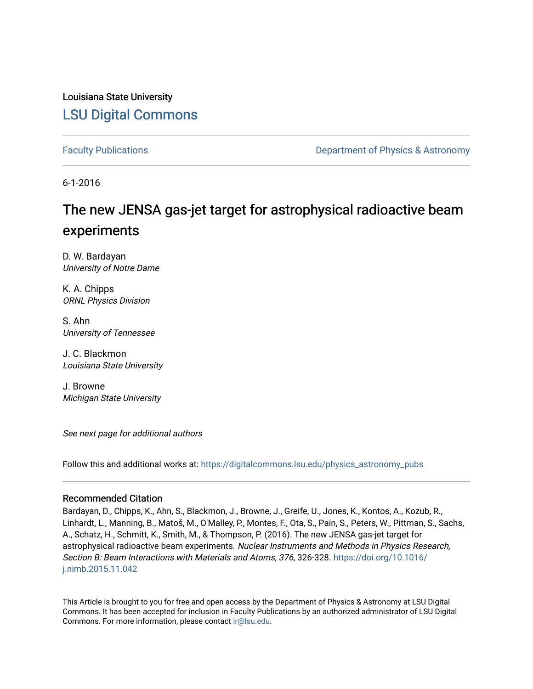Louisiana State University [LSU Digital Commons](https://digitalcommons.lsu.edu/)

[Faculty Publications](https://digitalcommons.lsu.edu/physics_astronomy_pubs) **Example 2** Constant Department of Physics & Astronomy

6-1-2016

# The new JENSA gas-jet target for astrophysical radioactive beam experiments

D. W. Bardayan University of Notre Dame

K. A. Chipps ORNL Physics Division

S. Ahn University of Tennessee

J. C. Blackmon Louisiana State University

J. Browne Michigan State University

See next page for additional authors

Follow this and additional works at: [https://digitalcommons.lsu.edu/physics\\_astronomy\\_pubs](https://digitalcommons.lsu.edu/physics_astronomy_pubs?utm_source=digitalcommons.lsu.edu%2Fphysics_astronomy_pubs%2F237&utm_medium=PDF&utm_campaign=PDFCoverPages) 

#### Recommended Citation

Bardayan, D., Chipps, K., Ahn, S., Blackmon, J., Browne, J., Greife, U., Jones, K., Kontos, A., Kozub, R., Linhardt, L., Manning, B., Matoš, M., O'Malley, P., Montes, F., Ota, S., Pain, S., Peters, W., Pittman, S., Sachs, A., Schatz, H., Schmitt, K., Smith, M., & Thompson, P. (2016). The new JENSA gas-jet target for astrophysical radioactive beam experiments. Nuclear Instruments and Methods in Physics Research, Section B: Beam Interactions with Materials and Atoms, 376, 326-328. [https://doi.org/10.1016/](https://doi.org/10.1016/j.nimb.2015.11.042) [j.nimb.2015.11.042](https://doi.org/10.1016/j.nimb.2015.11.042) 

This Article is brought to you for free and open access by the Department of Physics & Astronomy at LSU Digital Commons. It has been accepted for inclusion in Faculty Publications by an authorized administrator of LSU Digital Commons. For more information, please contact [ir@lsu.edu](mailto:ir@lsu.edu).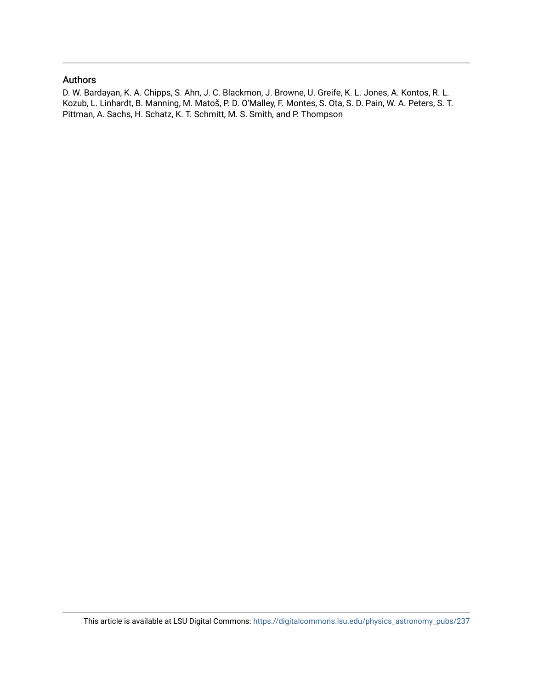### Authors

D. W. Bardayan, K. A. Chipps, S. Ahn, J. C. Blackmon, J. Browne, U. Greife, K. L. Jones, A. Kontos, R. L. Kozub, L. Linhardt, B. Manning, M. Matoš, P. D. O'Malley, F. Montes, S. Ota, S. D. Pain, W. A. Peters, S. T. Pittman, A. Sachs, H. Schatz, K. T. Schmitt, M. S. Smith, and P. Thompson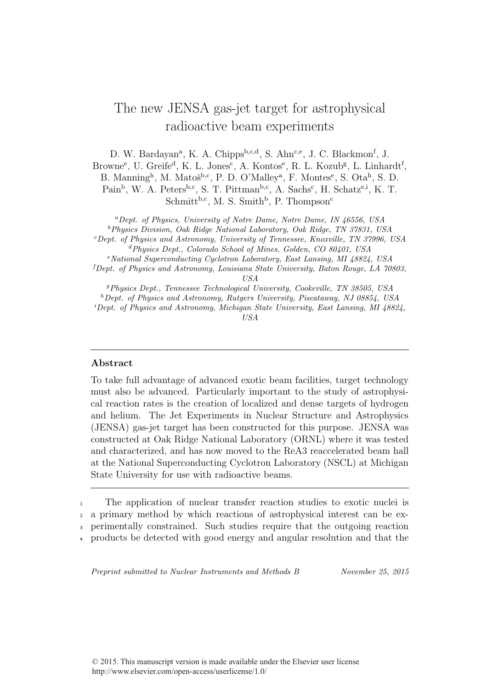## The new JENSA gas-jet target for astrophysical radioactive beam experiments

D. W. Bardayan<sup>a</sup>, K. A. Chipps<sup>b,c,d</sup>, S. Ahn<sup>c,e</sup>, J. C. Blackmon<sup>f</sup>, J.

Browne<sup>e</sup>, U. Greife<sup>d</sup>, K. L. Jones<sup>c</sup>, A. Kontos<sup>e</sup>, R. L. Kozub<sup>g</sup>, L. Linhardt<sup>f</sup>,

B. Manning<sup>h</sup>, M. Matoš<sup>b,c</sup>, P. D. O'Malley<sup>a</sup>, F. Montes<sup>e</sup>, S. Ota<sup>h</sup>, S. D.

Pain<sup>b</sup>, W. A. Peters<sup>b,c</sup>, S. T. Pittman<sup>b,c</sup>, A. Sachs<sup>c</sup>, H. Schatz<sup>e,i</sup>, K. T.  $Schmitt<sup>b,c</sup>, M. S. Smith<sup>b</sup>, P. Thompson<sup>c</sup>$ 

<sup>a</sup>Dept. of Physics, University of Notre Dame, Notre Dame, IN 46556, USA <sup>b</sup>Physics Division, Oak Ridge National Laboratory, Oak Ridge, TN 37831, USA

<sup>c</sup>Dept. of Physics and Astronomy, University of Tennessee, Knoxville, TN 37996, USA <sup>d</sup>Physics Dept., Colorado School of Mines, Golden, CO 80401, USA

<sup>e</sup>National Superconducting Cyclotron Laboratory, East Lansing, MI 48824, USA

 ${}^f$ Dept. of Physics and Astronomy, Louisiana State University, Baton Rouge, LA 70803.

USA

<sup>g</sup>Physics Dept., Tennessee Technological University, Cookeville, TN 38505, USA

 ${}^h$ Dept. of Physics and Astronomy, Rutgers University, Piscataway, NJ 08854, USA

<sup>i</sup>Dept. of Physics and Astronomy, Michigan State University, East Lansing, MI 48824, USA

### Abstract

To take full advantage of advanced exotic beam facilities, target technology must also be advanced. Particularly important to the study of astrophysical reaction rates is the creation of localized and dense targets of hydrogen and helium. The Jet Experiments in Nuclear Structure and Astrophysics (JENSA) gas-jet target has been constructed for this purpose. JENSA was constructed at Oak Ridge National Laboratory (ORNL) where it was tested and characterized, and has now moved to the ReA3 reaccelerated beam hall at the National Superconducting Cyclotron Laboratory (NSCL) at Michigan State University for use with radioactive beams.

 The application of nuclear transfer reaction studies to exotic nuclei is a primary method by which reactions of astrophysical interest can be ex- perimentally constrained. Such studies require that the outgoing reaction products be detected with good energy and angular resolution and that the

Preprint submitted to Nuclear Instruments and Methods B November 25, 2015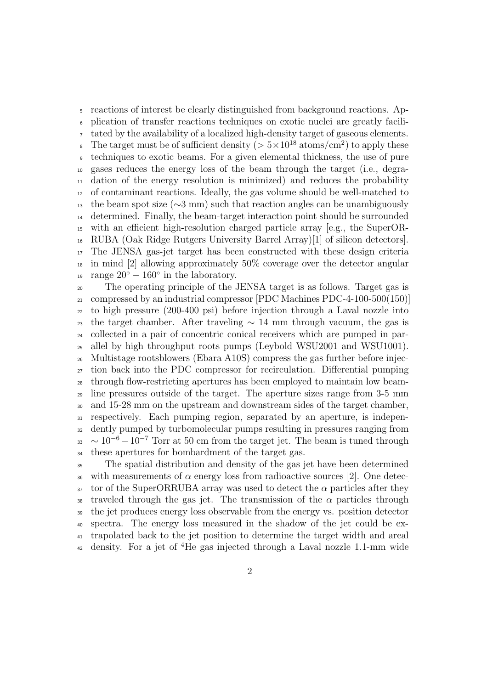reactions of interest be clearly distinguished from background reactions. Ap- plication of transfer reactions techniques on exotic nuclei are greatly facili- tated by the availability of a localized high-density target of gaseous elements. <sup>8</sup> The target must be of sufficient density  $($  >  $5 \times 10^{18}$  atoms/cm<sup>2</sup> $)$  to apply these techniques to exotic beams. For a given elemental thickness, the use of pure gases reduces the energy loss of the beam through the target (i.e., degra- dation of the energy resolution is minimized) and reduces the probability of contaminant reactions. Ideally, the gas volume should be well-matched to 13 the beam spot size ( $\sim$ 3 mm) such that reaction angles can be unambiguously determined. Finally, the beam-target interaction point should be surrounded with an efficient high-resolution charged particle array [e.g., the SuperOR- RUBA (Oak Ridge Rutgers University Barrel Array)[1] of silicon detectors]. The JENSA gas-jet target has been constructed with these design criteria in mind [2] allowing approximately 50% coverage over the detector angular <sup>19</sup> range  $20^{\circ} - 160^{\circ}$  in the laboratory.

 The operating principle of the JENSA target is as follows. Target gas is compressed by an industrial compressor [PDC Machines PDC-4-100-500(150)] to high pressure (200-400 psi) before injection through a Laval nozzle into 23 the target chamber. After traveling  $\sim 14$  mm through vacuum, the gas is collected in a pair of concentric conical receivers which are pumped in par- allel by high throughput roots pumps (Leybold WSU2001 and WSU1001). Multistage rootsblowers (Ebara A10S) compress the gas further before injec- tion back into the PDC compressor for recirculation. Differential pumping through flow-restricting apertures has been employed to maintain low beam- line pressures outside of the target. The aperture sizes range from 3-5 mm and 15-28 mm on the upstream and downstream sides of the target chamber, respectively. Each pumping region, separated by an aperture, is indepen- dently pumped by turbomolecular pumps resulting in pressures ranging from  $\mu_{33}$  ~ 10<sup>-6</sup> – 10<sup>-7</sup> Torr at 50 cm from the target jet. The beam is tuned through these apertures for bombardment of the target gas.

 The spatial distribution and density of the gas jet have been determined 36 with measurements of  $\alpha$  energy loss from radioactive sources [2]. One detec- tor of the SuperORRUBA array was used to detect the  $\alpha$  particles after they 38 traveled through the gas jet. The transmission of the  $\alpha$  particles through the jet produces energy loss observable from the energy vs. position detector spectra. The energy loss measured in the shadow of the jet could be ex- trapolated back to the jet position to determine the target width and areal  $\frac{4}{2}$  density. For a jet of <sup>4</sup>He gas injected through a Laval nozzle 1.1-mm wide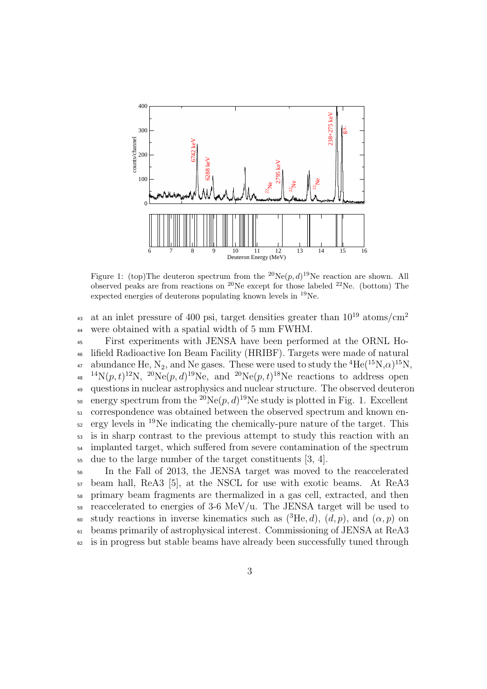

Figure 1: (top)The deuteron spectrum from the <sup>20</sup>Ne( $p$ ,  $d$ )<sup>19</sup>Ne reaction are shown. All observed peaks are from reactions on <sup>20</sup>Ne except for those labeled <sup>22</sup>Ne. (bottom) The expected energies of deuterons populating known levels in <sup>19</sup>Ne.

at an inlet pressure of 400 psi, target densities greater than  $10^{19}$  atoms/cm<sup>2</sup> 43 <sup>44</sup> were obtained with a spatial width of 5 mm FWHM.

<sup>45</sup> First experiments with JENSA have been performed at the ORNL Ho-<sup>46</sup> lifield Radioactive Ion Beam Facility (HRIBF). Targets were made of natural <sup>47</sup> abundance He, N<sub>2</sub>, and Ne gases. These were used to study the <sup>4</sup>He(<sup>15</sup>N, $\alpha$ )<sup>15</sup>N, <sup>48</sup> <sup>14</sup>N $(p, t)$ <sup>12</sup>N, <sup>20</sup>Ne $(p, d)$ <sup>19</sup>Ne, and <sup>20</sup>Ne $(p, t)$ <sup>18</sup>Ne reactions to address open <sup>49</sup> questions in nuclear astrophysics and nuclear structure. The observed deuteron so energy spectrum from the <sup>20</sup>Ne $(p, d)$ <sup>19</sup>Ne study is plotted in Fig. 1. Excellent <sup>51</sup> correspondence was obtained between the observed spectrum and known en- $_{52}$  ergy levels in <sup>19</sup>Ne indicating the chemically-pure nature of the target. This <sup>53</sup> is in sharp contrast to the previous attempt to study this reaction with an <sup>54</sup> implanted target, which suffered from severe contamination of the spectrum <sup>55</sup> due to the large number of the target constituents [3, 4].

 In the Fall of 2013, the JENSA target was moved to the reaccelerated beam hall, ReA3 [5], at the NSCL for use with exotic beams. At ReA3 primary beam fragments are thermalized in a gas cell, extracted, and then  $\frac{1}{29}$  reaccelerated to energies of 3-6 MeV/u. The JENSA target will be used to <sup>60</sup> study reactions in inverse kinematics such as  $({}^{3}He, d)$ ,  $(d, p)$ , and  $(α, p)$  on beams primarily of astrophysical interest. Commissioning of JENSA at ReA3 is in progress but stable beams have already been successfully tuned through